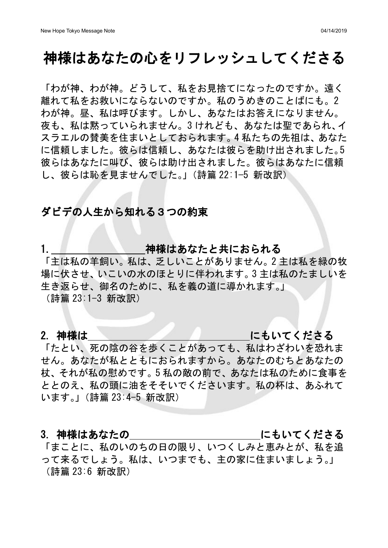## 神様はあなたの心をリフレッシュしてくださる

「わが神、わが神。どうして、私をお見捨てになったのですか。遠く 離れて私をお救いにならないのですか。私のうめきのことばにも。2 わが神。昼、私は呼びます。しかし、あなたはお答えになりません。 夜も、私は黙っていられません。3 けれども、あなたは聖であられ、イ スラエルの賛美を住まいとしておられます。4 私たちの先祖は、あなた に信頼しました。彼らは信頼し、あなたは彼らを助け出されました。5 彼らはあなたに叫び、彼らは助け出されました。彼らはあなたに信頼 し、彼らは恥を見ませんでした。」(詩篇 22:1−5 新改訳)

## ダビデの人生から知れる3つの約束

1. インファント 神様はあなたと共におられる

「主は私の羊飼い。私は、乏しいことがありません。2 主は私を緑の牧 場に伏させ、いこいの水のほとりに伴われます。3 主は私のたましいを 生き返らせ、御名のために、私を義の道に導かれます。」

(詩篇 23:1-3 新改訳)

## 2. 神様は いっきょう しょうしん にもいてくださる

「たとい、死の陰の谷を歩くことがあっても、私はわざわいを恐れま せん。あなたが私とともにおられますから。あなたのむちとあなたの 杖、それが私の慰めです。5 私の敵の前で、あなたは私のために食事を ととのえ、私の頭に油をそそいでくださいます。私の杯は、あふれて います。」(詩篇 23:4-5 新改訳)

## 3. 神様はあなたの いっちん にもいてくださる

「まことに、私のいのちの日の限り、いつくしみと恵みとが、私を追 って来るでしょう。私は、いつまでも、主の家に住まいましょう。」 (詩篇 23:6 新改訳)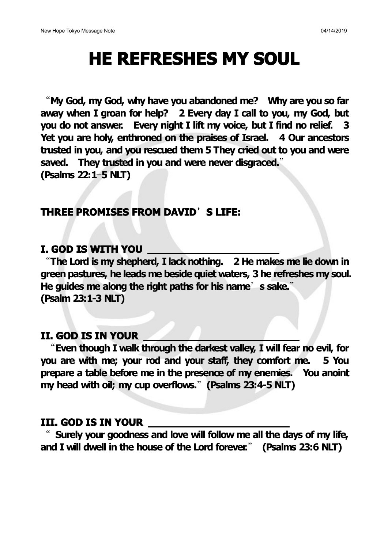# **HE REFRESHES MY SOUL**

"**My God, my God, why have you abandoned me? Why are you so far away when I groan for help? 2 Every day I call to you, my God, but you do not answer. Every night I lift my voice, but I find no relief. 3 Yet you are holy, enthroned on the praises of Israel. 4 Our ancestors trusted in you, and you rescued them 5 They cried out to you and were saved. They trusted in you and were never disgraced.**" **(Psalms 22:1**—**5 NLT)**

## **THREE PROMISES FROM DAVID**'**S LIFE:**

## **I. GOD IS WITH YOU**

"**The Lord is my shepherd, I lack nothing. 2 He makes me lie down in green pastures, he leads me beside quiet waters, 3 he refreshes my soul. He guides me along the right paths for his name**'**s sake.**" **(Psalm 23:1-3 NLT)**

## **II. GOD IS IN YOUR**

"**Even though I walk through the darkest valley, I will fear no evil, for you are with me; your rod and your staff, they comfort me. 5 You prepare a table before me in the presence of my enemies. You anoint my head with oil; my cup overflows.**"**(Psalms 23:4-5 NLT)**

## **III. GOD IS IN YOUR**

" **Surely your goodness and love will follow me all the days of my life, and I will dwell in the house of the Lord forever.**" **(Psalms 23:6 NLT)**